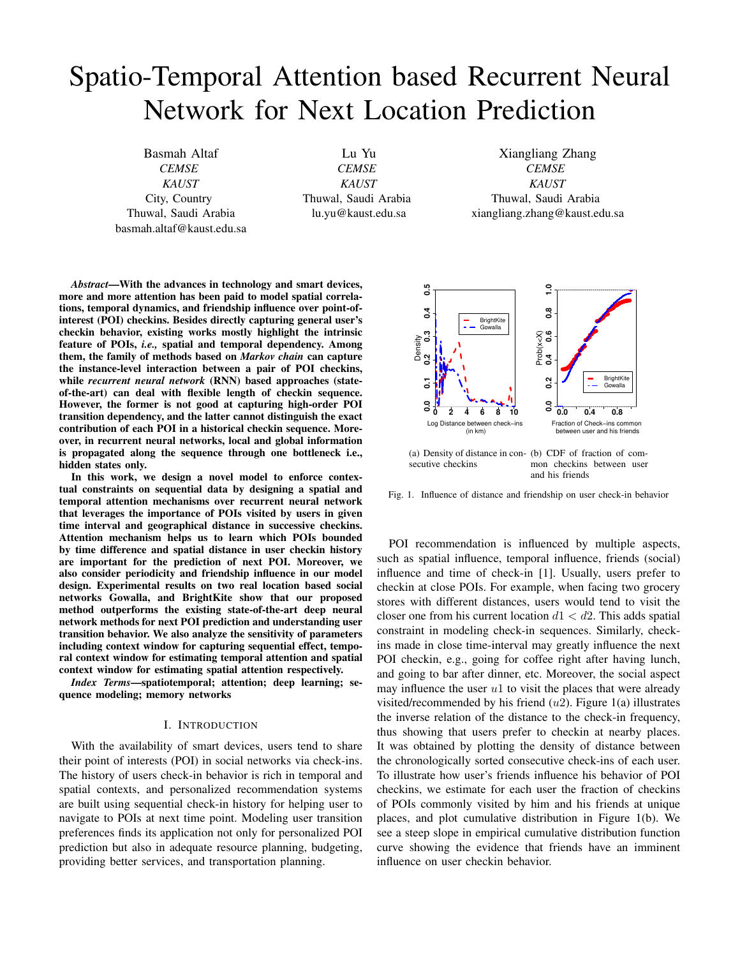# Spatio-Temporal Attention based Recurrent Neural Network for Next Location Prediction

Basmah Altaf *CEMSE KAUST* City, Country Thuwal, Saudi Arabia basmah.altaf@kaust.edu.sa

Lu Yu *CEMSE KAUST* Thuwal, Saudi Arabia lu.yu@kaust.edu.sa

Xiangliang Zhang *CEMSE KAUST* Thuwal, Saudi Arabia xiangliang.zhang@kaust.edu.sa

*Abstract*—With the advances in technology and smart devices, more and more attention has been paid to model spatial correlations, temporal dynamics, and friendship influence over point-ofinterest (POI) checkins. Besides directly capturing general user's checkin behavior, existing works mostly highlight the intrinsic feature of POIs, *i.e.,* spatial and temporal dependency. Among them, the family of methods based on *Markov chain* can capture the instance-level interaction between a pair of POI checkins, while *recurrent neural network* (RNN) based approaches (stateof-the-art) can deal with flexible length of checkin sequence. However, the former is not good at capturing high-order POI transition dependency, and the latter cannot distinguish the exact contribution of each POI in a historical checkin sequence. Moreover, in recurrent neural networks, local and global information is propagated along the sequence through one bottleneck i.e., hidden states only.

In this work, we design a novel model to enforce contextual constraints on sequential data by designing a spatial and temporal attention mechanisms over recurrent neural network that leverages the importance of POIs visited by users in given time interval and geographical distance in successive checkins. Attention mechanism helps us to learn which POIs bounded by time difference and spatial distance in user checkin history are important for the prediction of next POI. Moreover, we also consider periodicity and friendship influence in our model design. Experimental results on two real location based social networks Gowalla, and BrightKite show that our proposed method outperforms the existing state-of-the-art deep neural network methods for next POI prediction and understanding user transition behavior. We also analyze the sensitivity of parameters including context window for capturing sequential effect, temporal context window for estimating temporal attention and spatial context window for estimating spatial attention respectively.

*Index Terms*—spatiotemporal; attention; deep learning; sequence modeling; memory networks

## I. INTRODUCTION

With the availability of smart devices, users tend to share their point of interests (POI) in social networks via check-ins. The history of users check-in behavior is rich in temporal and spatial contexts, and personalized recommendation systems are built using sequential check-in history for helping user to navigate to POIs at next time point. Modeling user transition preferences finds its application not only for personalized POI prediction but also in adequate resource planning, budgeting, providing better services, and transportation planning.



Fig. 1. Influence of distance and friendship on user check-in behavior

POI recommendation is influenced by multiple aspects, such as spatial influence, temporal influence, friends (social) influence and time of check-in [1]. Usually, users prefer to checkin at close POIs. For example, when facing two grocery stores with different distances, users would tend to visit the closer one from his current location  $d1 < d2$ . This adds spatial constraint in modeling check-in sequences. Similarly, checkins made in close time-interval may greatly influence the next POI checkin, e.g., going for coffee right after having lunch, and going to bar after dinner, etc. Moreover, the social aspect may influence the user  $u_1$  to visit the places that were already visited/recommended by his friend  $(u2)$ . Figure 1(a) illustrates the inverse relation of the distance to the check-in frequency, thus showing that users prefer to checkin at nearby places. It was obtained by plotting the density of distance between the chronologically sorted consecutive check-ins of each user. To illustrate how user's friends influence his behavior of POI checkins, we estimate for each user the fraction of checkins of POIs commonly visited by him and his friends at unique places, and plot cumulative distribution in Figure 1(b). We see a steep slope in empirical cumulative distribution function curve showing the evidence that friends have an imminent influence on user checkin behavior.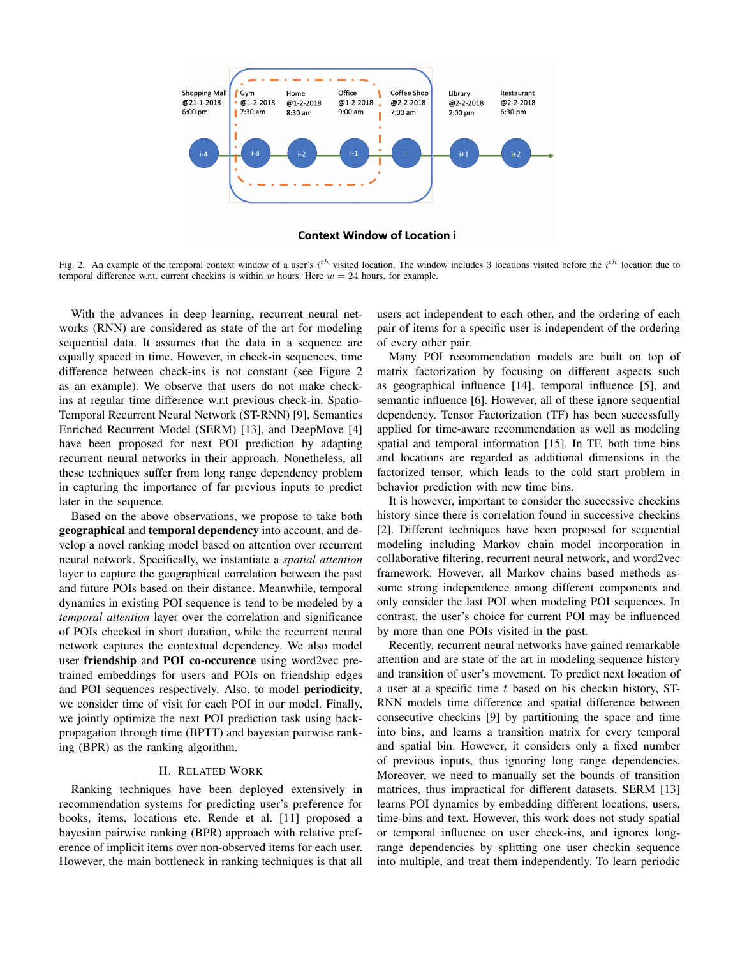

## **Context Window of Location i**

Fig. 2. An example of the temporal context window of a user's  $i^{th}$  visited location. The window includes 3 locations visited before the  $i^{th}$  location due to temporal difference w.r.t. current checkins is within w hours. Here  $w = 24$  hours, for example.

With the advances in deep learning, recurrent neural networks (RNN) are considered as state of the art for modeling sequential data. It assumes that the data in a sequence are equally spaced in time. However, in check-in sequences, time difference between check-ins is not constant (see Figure 2 as an example). We observe that users do not make checkins at regular time difference w.r.t previous check-in. Spatio-Temporal Recurrent Neural Network (ST-RNN) [9], Semantics Enriched Recurrent Model (SERM) [13], and DeepMove [4] have been proposed for next POI prediction by adapting recurrent neural networks in their approach. Nonetheless, all these techniques suffer from long range dependency problem in capturing the importance of far previous inputs to predict later in the sequence.

Based on the above observations, we propose to take both geographical and temporal dependency into account, and develop a novel ranking model based on attention over recurrent neural network. Specifically, we instantiate a *spatial attention* layer to capture the geographical correlation between the past and future POIs based on their distance. Meanwhile, temporal dynamics in existing POI sequence is tend to be modeled by a *temporal attention* layer over the correlation and significance of POIs checked in short duration, while the recurrent neural network captures the contextual dependency. We also model user friendship and POI co-occurence using word2vec pretrained embeddings for users and POIs on friendship edges and POI sequences respectively. Also, to model periodicity, we consider time of visit for each POI in our model. Finally, we jointly optimize the next POI prediction task using backpropagation through time (BPTT) and bayesian pairwise ranking (BPR) as the ranking algorithm.

# II. RELATED WORK

Ranking techniques have been deployed extensively in recommendation systems for predicting user's preference for books, items, locations etc. Rende et al. [11] proposed a bayesian pairwise ranking (BPR) approach with relative preference of implicit items over non-observed items for each user. However, the main bottleneck in ranking techniques is that all users act independent to each other, and the ordering of each pair of items for a specific user is independent of the ordering of every other pair.

Many POI recommendation models are built on top of matrix factorization by focusing on different aspects such as geographical influence [14], temporal influence [5], and semantic influence [6]. However, all of these ignore sequential dependency. Tensor Factorization (TF) has been successfully applied for time-aware recommendation as well as modeling spatial and temporal information [15]. In TF, both time bins and locations are regarded as additional dimensions in the factorized tensor, which leads to the cold start problem in behavior prediction with new time bins.

It is however, important to consider the successive checkins history since there is correlation found in successive checkins [2]. Different techniques have been proposed for sequential modeling including Markov chain model incorporation in collaborative filtering, recurrent neural network, and word2vec framework. However, all Markov chains based methods assume strong independence among different components and only consider the last POI when modeling POI sequences. In contrast, the user's choice for current POI may be influenced by more than one POIs visited in the past.

Recently, recurrent neural networks have gained remarkable attention and are state of the art in modeling sequence history and transition of user's movement. To predict next location of a user at a specific time t based on his checkin history, ST-RNN models time difference and spatial difference between consecutive checkins [9] by partitioning the space and time into bins, and learns a transition matrix for every temporal and spatial bin. However, it considers only a fixed number of previous inputs, thus ignoring long range dependencies. Moreover, we need to manually set the bounds of transition matrices, thus impractical for different datasets. SERM [13] learns POI dynamics by embedding different locations, users, time-bins and text. However, this work does not study spatial or temporal influence on user check-ins, and ignores longrange dependencies by splitting one user checkin sequence into multiple, and treat them independently. To learn periodic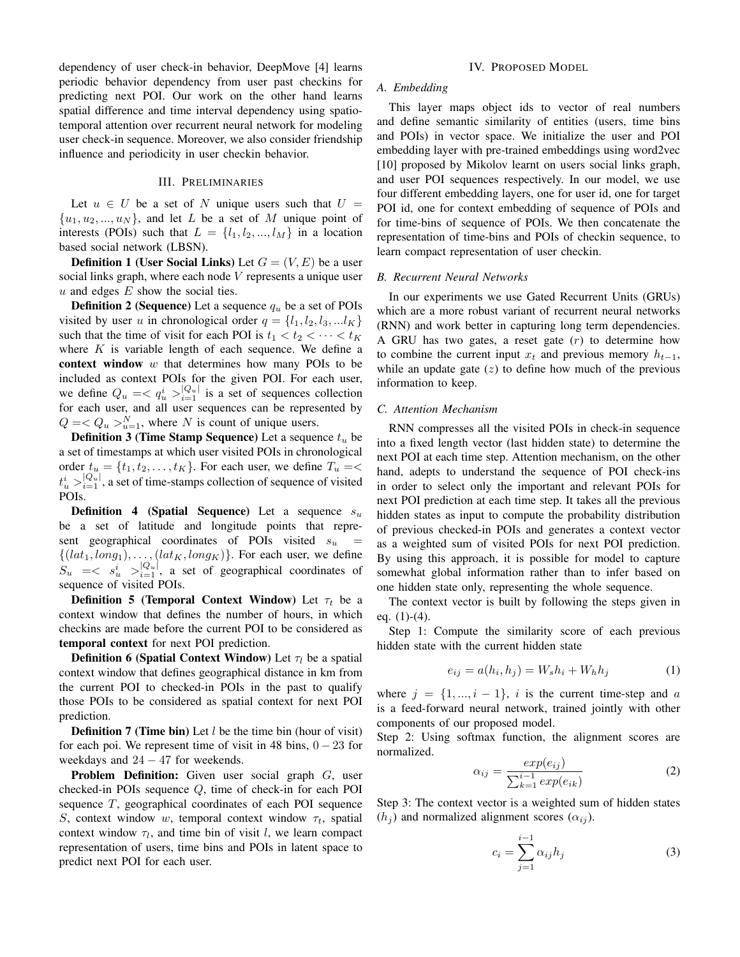dependency of user check-in behavior, DeepMove [4] learns periodic behavior dependency from user past checkins for predicting next POI. Our work on the other hand learns spatial difference and time interval dependency using spatiotemporal attention over recurrent neural network for modeling user check-in sequence. Moreover, we also consider friendship influence and periodicity in user checkin behavior.

## III. PRELIMINARIES

Let  $u \in U$  be a set of N unique users such that  $U =$  $\{u_1, u_2, ..., u_N\}$ , and let L be a set of M unique point of interests (POIs) such that  $L = \{l_1, l_2, ..., l_M\}$  in a location based social network (LBSN).

**Definition 1 (User Social Links)** Let  $G = (V, E)$  be a user social links graph, where each node V represents a unique user  $u$  and edges  $E$  show the social ties.

**Definition 2 (Sequence)** Let a sequence  $q_u$  be a set of POIs visited by user u in chronological order  $q = \{l_1, l_2, l_3, ... l_K\}$ such that the time of visit for each POI is  $t_1 < t_2 < \cdots < t_K$ where  $K$  is variable length of each sequence. We define a context window  $w$  that determines how many POIs to be included as context POIs for the given POI. For each user, we define  $Q_u = \langle q_u^i \rangle_{i=1}^{|Q_u|}$  is a set of sequences collection for each user, and all user sequences can be represented by  $Q = \langle Q_u \rangle_{u=1}^N$ , where N is count of unique users.

**Definition 3 (Time Stamp Sequence)** Let a sequence  $t_u$  be a set of timestamps at which user visited POIs in chronological order  $t_u = \{t_1, t_2, \ldots, t_K\}$ . For each user, we define  $T_u = \langle t_1, t_2, \ldots, t_K \rangle$ .  $t_u^i >_{i=1}^{|Q_u|}$ , a set of time-stamps collection of sequence of visited POIs.

**Definition 4 (Spatial Sequence)** Let a sequence  $s_u$ be a set of latitude and longitude points that represent geographical coordinates of POIs visited  $s_u$  =  $\{(lat_1, long_1), \ldots, (lat_K, long_K)\}.$  For each user, we define  $S_u = \langle s_u^i \rangle = |Q_u| \over |q_u|$ , a set of geographical coordinates of sequence of visited POIs.

**Definition 5 (Temporal Context Window)** Let  $\tau_t$  be a context window that defines the number of hours, in which checkins are made before the current POI to be considered as temporal context for next POI prediction.

**Definition 6 (Spatial Context Window)** Let  $\tau_l$  be a spatial context window that defines geographical distance in km from the current POI to checked-in POIs in the past to qualify those POIs to be considered as spatial context for next POI prediction.

**Definition 7 (Time bin)** Let  $l$  be the time bin (hour of visit) for each poi. We represent time of visit in 48 bins,  $0 - 23$  for weekdays and  $24 - 47$  for weekends.

Problem Definition: Given user social graph G, user checked-in POIs sequence Q, time of check-in for each POI sequence T, geographical coordinates of each POI sequence S, context window w, temporal context window  $\tau_t$ , spatial context window  $\tau_l$ , and time bin of visit l, we learn compact representation of users, time bins and POIs in latent space to predict next POI for each user.

## IV. PROPOSED MODEL

#### *A. Embedding*

This layer maps object ids to vector of real numbers and define semantic similarity of entities (users, time bins and POIs) in vector space. We initialize the user and POI embedding layer with pre-trained embeddings using word2vec [10] proposed by Mikolov learnt on users social links graph, and user POI sequences respectively. In our model, we use four different embedding layers, one for user id, one for target POI id, one for context embedding of sequence of POIs and for time-bins of sequence of POIs. We then concatenate the representation of time-bins and POIs of checkin sequence, to learn compact representation of user checkin.

## *B. Recurrent Neural Networks*

In our experiments we use Gated Recurrent Units (GRUs) which are a more robust variant of recurrent neural networks (RNN) and work better in capturing long term dependencies. A GRU has two gates, a reset gate  $(r)$  to determine how to combine the current input  $x_t$  and previous memory  $h_{t-1}$ , while an update gate  $(z)$  to define how much of the previous information to keep.

#### *C. Attention Mechanism*

RNN compresses all the visited POIs in check-in sequence into a fixed length vector (last hidden state) to determine the next POI at each time step. Attention mechanism, on the other hand, adepts to understand the sequence of POI check-ins in order to select only the important and relevant POIs for next POI prediction at each time step. It takes all the previous hidden states as input to compute the probability distribution of previous checked-in POIs and generates a context vector as a weighted sum of visited POIs for next POI prediction. By using this approach, it is possible for model to capture somewhat global information rather than to infer based on one hidden state only, representing the whole sequence.

The context vector is built by following the steps given in eq. (1)-(4).

Step 1: Compute the similarity score of each previous hidden state with the current hidden state

$$
e_{ij} = a(h_i, h_j) = W_s h_i + W_h h_j \tag{1}
$$

where  $j = \{1, ..., i - 1\}$ , i is the current time-step and a is a feed-forward neural network, trained jointly with other components of our proposed model.

Step 2: Using softmax function, the alignment scores are normalized.

$$
\alpha_{ij} = \frac{exp(e_{ij})}{\sum_{k=1}^{i-1} exp(e_{ik})}
$$
\n(2)

Step 3: The context vector is a weighted sum of hidden states  $(h<sub>j</sub>)$  and normalized alignment scores  $(\alpha_{ij})$ .

$$
c_i = \sum_{j=1}^{i-1} \alpha_{ij} h_j \tag{3}
$$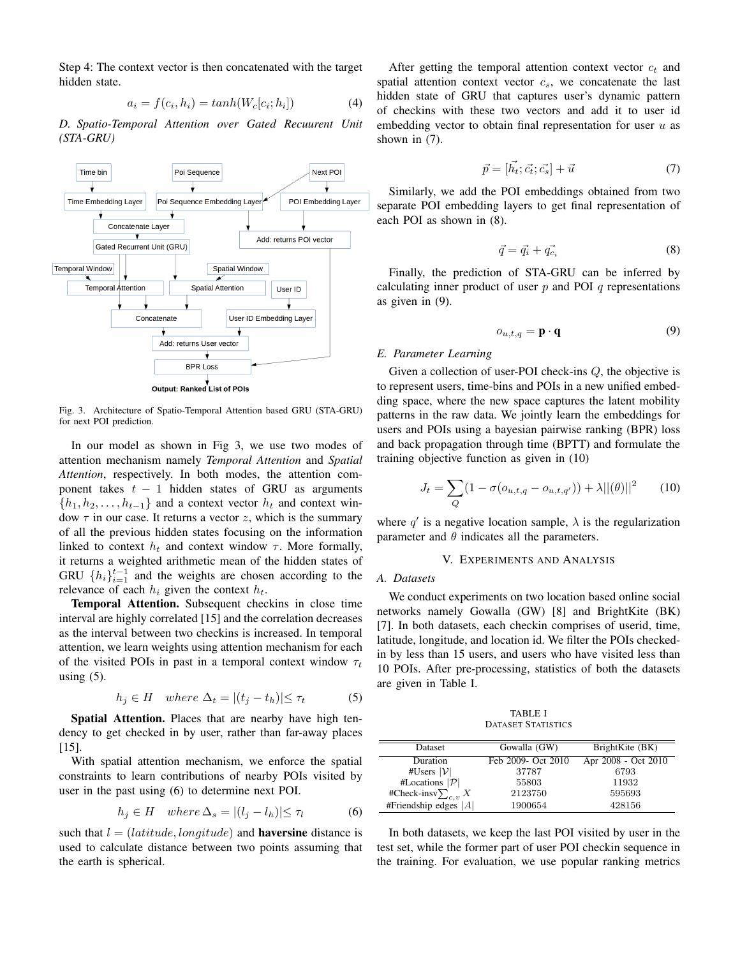Step 4: The context vector is then concatenated with the target hidden state.

$$
a_i = f(c_i, h_i) = \tanh(W_c[c_i; h_i])\tag{4}
$$

*D. Spatio-Temporal Attention over Gated Recuurent Unit (STA-GRU)*



Fig. 3. Architecture of Spatio-Temporal Attention based GRU (STA-GRU) for next POI prediction.

In our model as shown in Fig 3, we use two modes of attention mechanism namely *Temporal Attention* and *Spatial Attention*, respectively. In both modes, the attention component takes  $t - 1$  hidden states of GRU as arguments  $\{h_1, h_2, \ldots, h_{t-1}\}\$  and a context vector  $h_t$  and context window  $\tau$  in our case. It returns a vector z, which is the summary of all the previous hidden states focusing on the information linked to context  $h_t$  and context window  $\tau$ . More formally, it returns a weighted arithmetic mean of the hidden states of GRU  $\{h_i\}_{i=1}^{t-1}$  and the weights are chosen according to the relevance of each  $h_i$  given the context  $h_t$ .

Temporal Attention. Subsequent checkins in close time interval are highly correlated [15] and the correlation decreases as the interval between two checkins is increased. In temporal attention, we learn weights using attention mechanism for each of the visited POIs in past in a temporal context window  $\tau_t$ using  $(5)$ .

$$
h_j \in H \quad where \ \Delta_t = |(t_j - t_h)| \le \tau_t \tag{5}
$$

Spatial Attention. Places that are nearby have high tendency to get checked in by user, rather than far-away places [15].

With spatial attention mechanism, we enforce the spatial constraints to learn contributions of nearby POIs visited by user in the past using (6) to determine next POI.

$$
h_j \in H \quad where \Delta_s = |(l_j - l_h)| \le \tau_l \tag{6}
$$

such that  $l = (latitude, longitude)$  and **haversine** distance is used to calculate distance between two points assuming that the earth is spherical.

After getting the temporal attention context vector  $c_t$  and spatial attention context vector  $c_s$ , we concatenate the last hidden state of GRU that captures user's dynamic pattern of checkins with these two vectors and add it to user id embedding vector to obtain final representation for user  $u$  as shown in (7).

$$
\vec{p} = [\vec{h_t}; \vec{c_t}; \vec{c_s}] + \vec{u} \tag{7}
$$

Similarly, we add the POI embeddings obtained from two separate POI embedding layers to get final representation of each POI as shown in (8).

$$
\vec{q} = \vec{q_i} + \vec{q_{c_i}} \tag{8}
$$

Finally, the prediction of STA-GRU can be inferred by calculating inner product of user  $p$  and POI  $q$  representations as given in (9).

$$
o_{u,t,q} = \mathbf{p} \cdot \mathbf{q} \tag{9}
$$

## *E. Parameter Learning*

Given a collection of user-POI check-ins Q, the objective is to represent users, time-bins and POIs in a new unified embedding space, where the new space captures the latent mobility patterns in the raw data. We jointly learn the embeddings for users and POIs using a bayesian pairwise ranking (BPR) loss and back propagation through time (BPTT) and formulate the training objective function as given in (10)

$$
J_t = \sum_{Q} (1 - \sigma(o_{u,t,q} - o_{u,t,q'})) + \lambda ||(\theta)||^2 \qquad (10)
$$

where  $q'$  is a negative location sample,  $\lambda$  is the regularization parameter and  $\theta$  indicates all the parameters.

#### V. EXPERIMENTS AND ANALYSIS

# *A. Datasets*

We conduct experiments on two location based online social networks namely Gowalla (GW) [8] and BrightKite (BK) [7]. In both datasets, each checkin comprises of userid, time, latitude, longitude, and location id. We filter the POIs checkedin by less than 15 users, and users who have visited less than 10 POIs. After pre-processing, statistics of both the datasets are given in Table I.

TABLE I DATASET STATISTICS

| Dataset                    | Gowalla (GW)       | BrightKite (BK)     |
|----------------------------|--------------------|---------------------|
| Duration                   | Feb 2009- Oct 2010 | Apr 2008 - Oct 2010 |
| #Users $ \mathcal{V} $     | 37787              | 6793                |
| #Locations $ \mathcal{P} $ | 55803              | 11932               |
| #Check-insv $\sum_{c,v} X$ | 2123750            | 595693              |
| #Friendship edges $ A $    | 1900654            | 428156              |

In both datasets, we keep the last POI visited by user in the test set, while the former part of user POI checkin sequence in the training. For evaluation, we use popular ranking metrics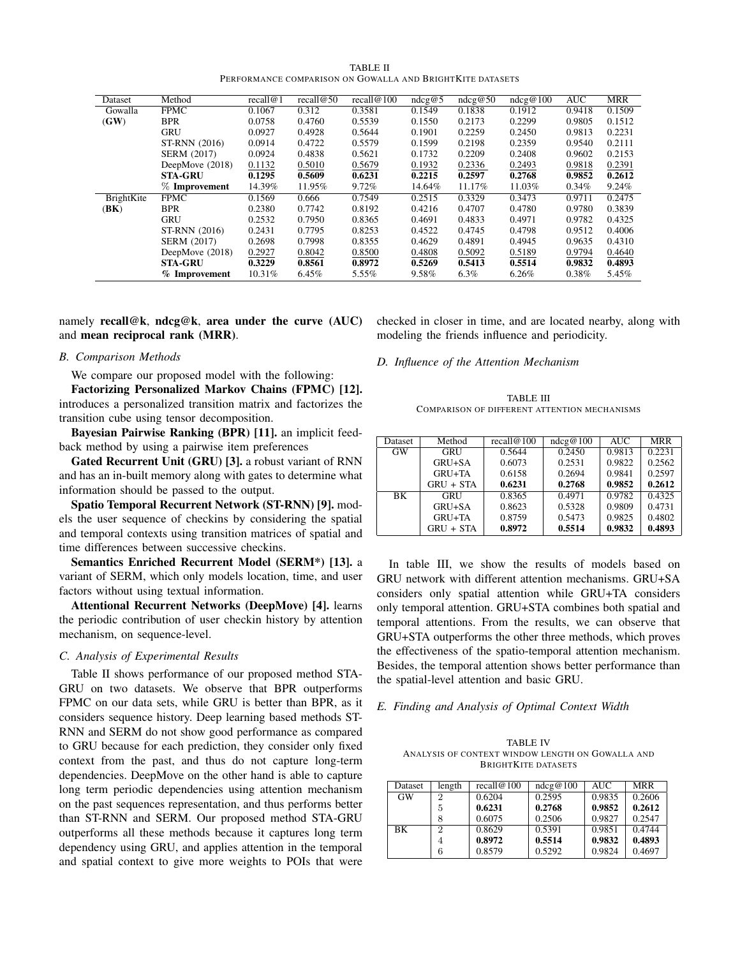TABLE II PERFORMANCE COMPARISON ON GOWALLA AND BRIGHTKITE DATASETS

| Dataset           | Method               | recall $@1$ | recall $@50$ | recall $@100$ | ndcg@5 | ndcg@50 | ndcg@100 | AUC      | <b>MRR</b> |
|-------------------|----------------------|-------------|--------------|---------------|--------|---------|----------|----------|------------|
| Gowalla           | <b>FPMC</b>          | 0.1067      | 0.312        | 0.3581        | 0.1549 | 0.1838  | 0.1912   | 0.9418   | 0.1509     |
| (GW)              | <b>BPR</b>           | 0.0758      | 0.4760       | 0.5539        | 0.1550 | 0.2173  | 0.2299   | 0.9805   | 0.1512     |
|                   | <b>GRU</b>           | 0.0927      | 0.4928       | 0.5644        | 0.1901 | 0.2259  | 0.2450   | 0.9813   | 0.2231     |
|                   | <b>ST-RNN</b> (2016) | 0.0914      | 0.4722       | 0.5579        | 0.1599 | 0.2198  | 0.2359   | 0.9540   | 0.2111     |
|                   | <b>SERM (2017)</b>   | 0.0924      | 0.4838       | 0.5621        | 0.1732 | 0.2209  | 0.2408   | 0.9602   | 0.2153     |
|                   | DeepMove (2018)      | 0.1132      | 0.5010       | 0.5679        | 0.1932 | 0.2336  | 0.2493   | 0.9818   | 0.2391     |
|                   | <b>STA-GRU</b>       | 0.1295      | 0.5609       | 0.6231        | 0.2215 | 0.2597  | 0.2768   | 0.9852   | 0.2612     |
|                   | $%$ Improvement      | 14.39%      | 11.95%       | 9.72%         | 14.64% | 11.17%  | 11.03%   | $0.34\%$ | 9.24%      |
| <b>BrightKite</b> | <b>FPMC</b>          | 0.1569      | 0.666        | 0.7549        | 0.2515 | 0.3329  | 0.3473   | 0.9711   | 0.2475     |
| (BK)              | <b>BPR</b>           | 0.2380      | 0.7742       | 0.8192        | 0.4216 | 0.4707  | 0.4780   | 0.9780   | 0.3839     |
|                   | <b>GRU</b>           | 0.2532      | 0.7950       | 0.8365        | 0.4691 | 0.4833  | 0.4971   | 0.9782   | 0.4325     |
|                   | ST-RNN (2016)        | 0.2431      | 0.7795       | 0.8253        | 0.4522 | 0.4745  | 0.4798   | 0.9512   | 0.4006     |
|                   | <b>SERM (2017)</b>   | 0.2698      | 0.7998       | 0.8355        | 0.4629 | 0.4891  | 0.4945   | 0.9635   | 0.4310     |
|                   | DeepMove (2018)      | 0.2927      | 0.8042       | 0.8500        | 0.4808 | 0.5092  | 0.5189   | 0.9794   | 0.4640     |
|                   | <b>STA-GRU</b>       | 0.3229      | 0.8561       | 0.8972        | 0.5269 | 0.5413  | 0.5514   | 0.9832   | 0.4893     |
|                   | % Improvement        | 10.31%      | 6.45%        | 5.55%         | 9.58%  | $6.3\%$ | 6.26%    | $0.38\%$ | 5.45%      |

namely recall@k, ndcg@k, area under the curve  $(AUC)$ and mean reciprocal rank (MRR).

# *B. Comparison Methods*

We compare our proposed model with the following:

Factorizing Personalized Markov Chains (FPMC) [12]. introduces a personalized transition matrix and factorizes the transition cube using tensor decomposition.

Bayesian Pairwise Ranking (BPR) [11]. an implicit feedback method by using a pairwise item preferences

Gated Recurrent Unit (GRU) [3]. a robust variant of RNN and has an in-built memory along with gates to determine what information should be passed to the output.

Spatio Temporal Recurrent Network (ST-RNN) [9]. models the user sequence of checkins by considering the spatial and temporal contexts using transition matrices of spatial and time differences between successive checkins.

Semantics Enriched Recurrent Model (SERM\*) [13]. a variant of SERM, which only models location, time, and user factors without using textual information.

Attentional Recurrent Networks (DeepMove) [4]. learns the periodic contribution of user checkin history by attention mechanism, on sequence-level.

# *C. Analysis of Experimental Results*

Table II shows performance of our proposed method STA-GRU on two datasets. We observe that BPR outperforms FPMC on our data sets, while GRU is better than BPR, as it considers sequence history. Deep learning based methods ST-RNN and SERM do not show good performance as compared to GRU because for each prediction, they consider only fixed context from the past, and thus do not capture long-term dependencies. DeepMove on the other hand is able to capture long term periodic dependencies using attention mechanism on the past sequences representation, and thus performs better than ST-RNN and SERM. Our proposed method STA-GRU outperforms all these methods because it captures long term dependency using GRU, and applies attention in the temporal and spatial context to give more weights to POIs that were

checked in closer in time, and are located nearby, along with modeling the friends influence and periodicity.

*D. Influence of the Attention Mechanism*

TABLE III COMPARISON OF DIFFERENT ATTENTION MECHANISMS

| Dataset   | Method      | recall $@100$ | ndeg@100 | <b>AUC</b> | <b>MRR</b> |
|-----------|-------------|---------------|----------|------------|------------|
| <b>GW</b> | GRU         | 0.5644        | 0.2450   | 0.9813     | 0.2231     |
|           | $GRU + SA$  | 0.6073        | 0.2531   | 0.9822     | 0.2562     |
|           | GRU+TA      | 0.6158        | 0.2694   | 0.9841     | 0.2597     |
|           | $GRU + STA$ | 0.6231        | 0.2768   | 0.9852     | 0.2612     |
| BK        | GRU         | 0.8365        | 0.4971   | 0.9782     | 0.4325     |
|           | $GRU + SA$  | 0.8623        | 0.5328   | 0.9809     | 0.4731     |
|           | GRU+TA      | 0.8759        | 0.5473   | 0.9825     | 0.4802     |
|           | $GRU + STA$ | 0.8972        | 0.5514   | 0.9832     | 0.4893     |

In table III, we show the results of models based on GRU network with different attention mechanisms. GRU+SA considers only spatial attention while GRU+TA considers only temporal attention. GRU+STA combines both spatial and temporal attentions. From the results, we can observe that GRU+STA outperforms the other three methods, which proves the effectiveness of the spatio-temporal attention mechanism. Besides, the temporal attention shows better performance than the spatial-level attention and basic GRU.

# *E. Finding and Analysis of Optimal Context Width*

TABLE IV ANALYSIS OF CONTEXT WINDOW LENGTH ON GOWALLA AND BRIGHTKITE DATASETS

| Dataset | length | recall $@100$ | ndcg@100 | AUC.   | <b>MRR</b> |
|---------|--------|---------------|----------|--------|------------|
| GW      | 2      | 0.6204        | 0.2595   | 0.9835 | 0.2606     |
|         | 5      | 0.6231        | 0.2768   | 0.9852 | 0.2612     |
|         | 8      | 0.6075        | 0.2506   | 0.9827 | 0.2547     |
| BК      | 2      | 0.8629        | 0.5391   | 0.9851 | 0.4744     |
|         | 4      | 0.8972        | 0.5514   | 0.9832 | 0.4893     |
|         | 6      | 0.8579        | 0.5292   | 0.9824 | 0.4697     |